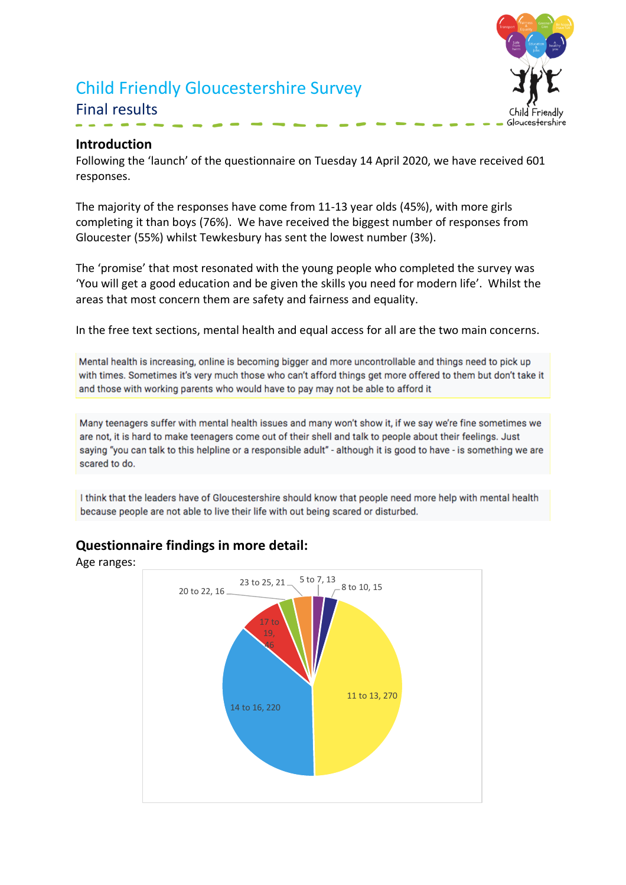# Child Friendly Gloucestershire Survey Final results



#### **Introduction**

Following the 'launch' of the questionnaire on Tuesday 14 April 2020, we have received 601 responses.

The majority of the responses have come from 11-13 year olds (45%), with more girls completing it than boys (76%). We have received the biggest number of responses from Gloucester (55%) whilst Tewkesbury has sent the lowest number (3%).

The 'promise' that most resonated with the young people who completed the survey was 'You will get a good education and be given the skills you need for modern life'. Whilst the areas that most concern them are safety and fairness and equality.

In the free text sections, mental health and equal access for all are the two main concerns.

Mental health is increasing, online is becoming bigger and more uncontrollable and things need to pick up with times. Sometimes it's very much those who can't afford things get more offered to them but don't take it and those with working parents who would have to pay may not be able to afford it

Many teenagers suffer with mental health issues and many won't show it, if we say we're fine sometimes we are not, it is hard to make teenagers come out of their shell and talk to people about their feelings. Just saying "you can talk to this helpline or a responsible adult" - although it is good to have - is something we are scared to do.

I think that the leaders have of Gloucestershire should know that people need more help with mental health because people are not able to live their life with out being scared or disturbed.



#### **Questionnaire findings in more detail:**

Age ranges: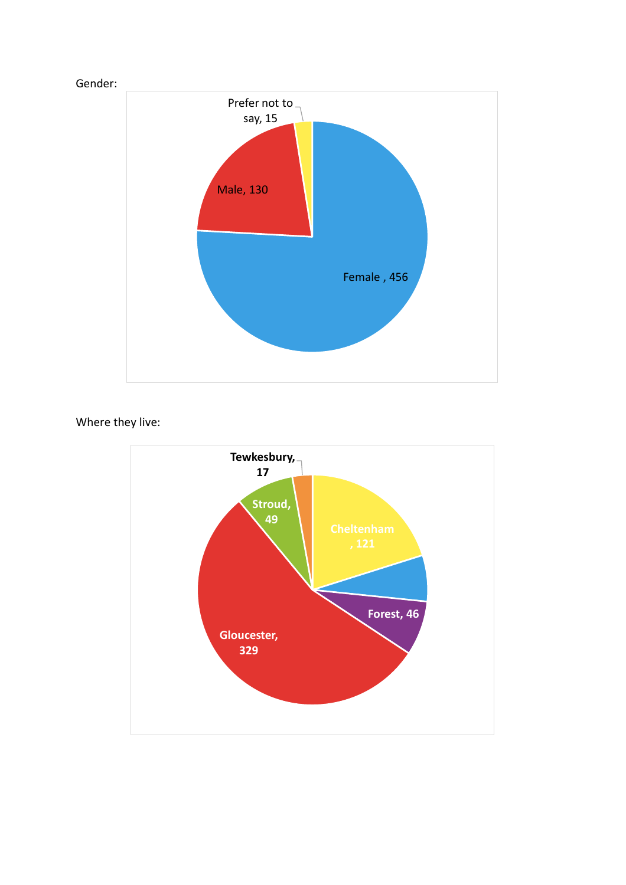

# Where they live:

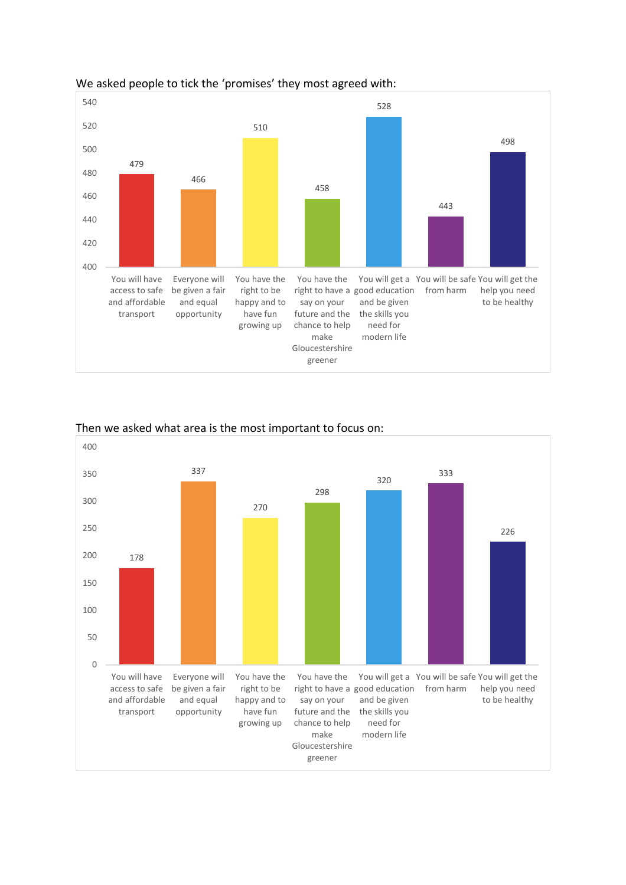

#### We asked people to tick the 'promises' they most agreed with:



#### Then we asked what area is the most important to focus on: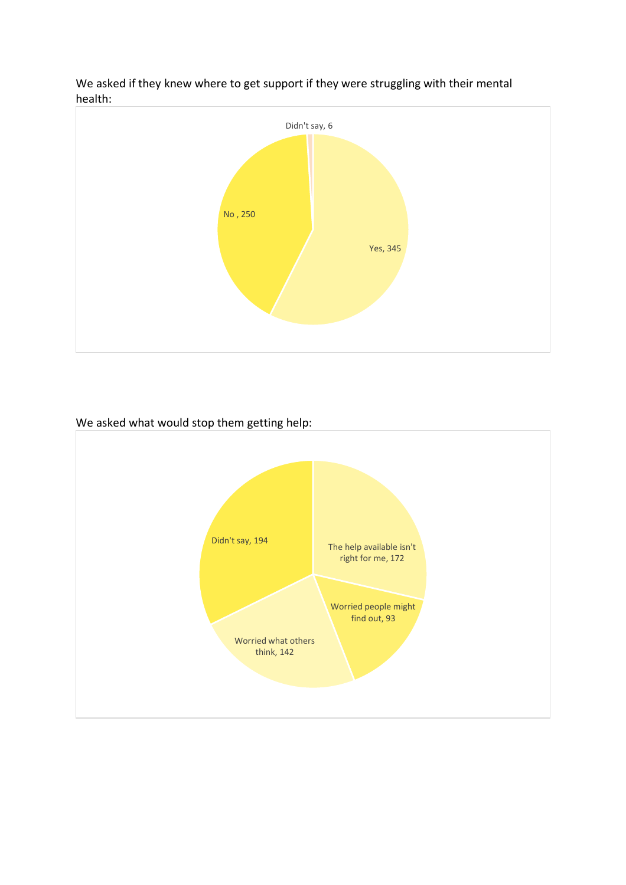

We asked if they knew where to get support if they were struggling with their mental health:

We asked what would stop them getting help:

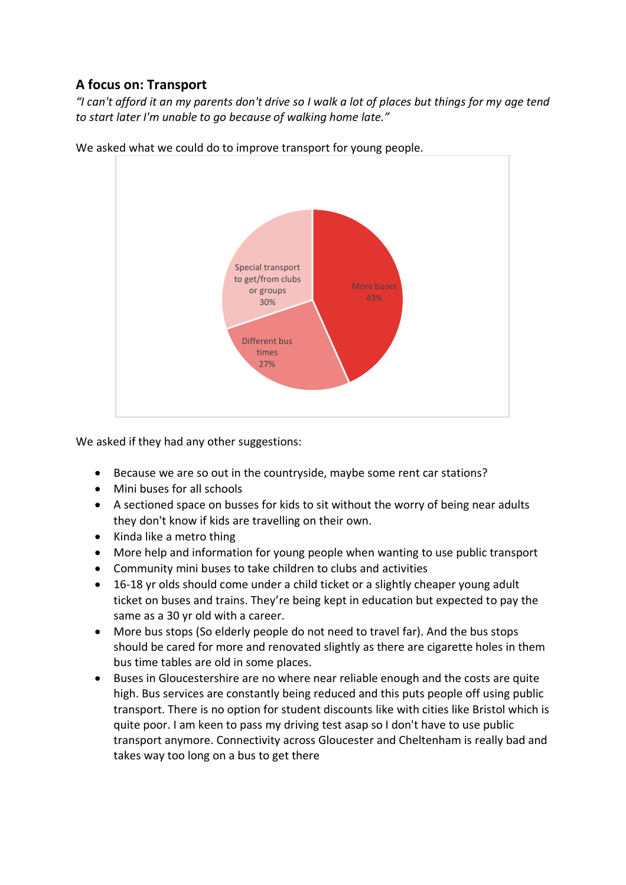# **A focus on: Transport**

*"I can't afford it an my parents don't drive so I walk a lot of places but things for my age tend to start later I'm unable to go because of walking home late."*



We asked what we could do to improve transport for young people.

We asked if they had any other suggestions:

- Because we are so out in the countryside, maybe some rent car stations?
- Mini buses for all schools
- A sectioned space on busses for kids to sit without the worry of being near adults they don't know if kids are travelling on their own.
- Kinda like a metro thing
- More help and information for young people when wanting to use public transport
- Community mini buses to take children to clubs and activities
- 16-18 yr olds should come under a child ticket or a slightly cheaper young adult ticket on buses and trains. They're being kept in education but expected to pay the same as a 30 yr old with a career.
- More bus stops (So elderly people do not need to travel far). And the bus stops should be cared for more and renovated slightly as there are cigarette holes in them bus time tables are old in some places.
- Buses in Gloucestershire are no where near reliable enough and the costs are quite high. Bus services are constantly being reduced and this puts people off using public transport. There is no option for student discounts like with cities like Bristol which is quite poor. I am keen to pass my driving test asap so I don't have to use public transport anymore. Connectivity across Gloucester and Cheltenham is really bad and takes way too long on a bus to get there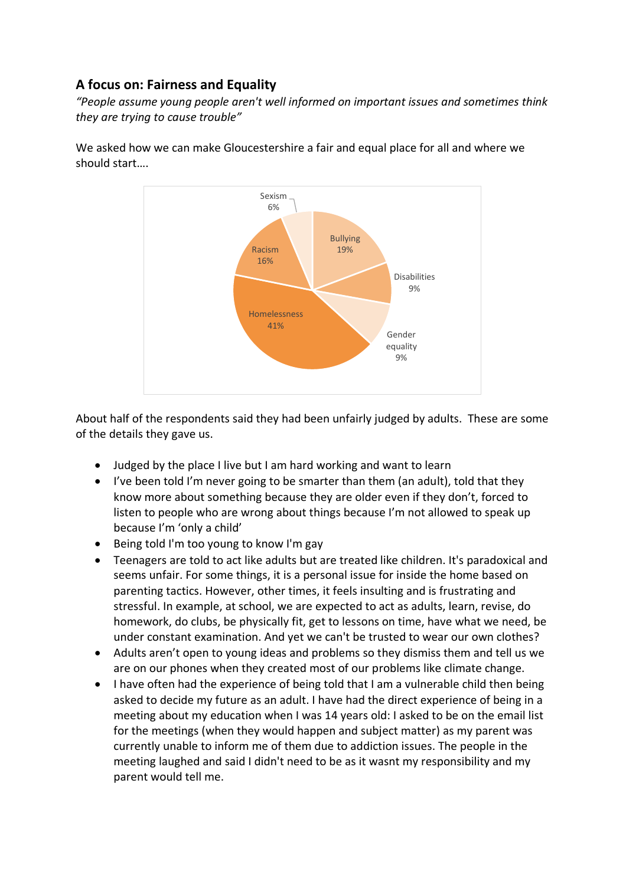# **A focus on: Fairness and Equality**

*"People assume young people aren't well informed on important issues and sometimes think they are trying to cause trouble"*





About half of the respondents said they had been unfairly judged by adults. These are some of the details they gave us.

- Judged by the place I live but I am hard working and want to learn
- I've been told I'm never going to be smarter than them (an adult), told that they know more about something because they are older even if they don't, forced to listen to people who are wrong about things because I'm not allowed to speak up because I'm 'only a child'
- Being told I'm too young to know I'm gay
- Teenagers are told to act like adults but are treated like children. It's paradoxical and seems unfair. For some things, it is a personal issue for inside the home based on parenting tactics. However, other times, it feels insulting and is frustrating and stressful. In example, at school, we are expected to act as adults, learn, revise, do homework, do clubs, be physically fit, get to lessons on time, have what we need, be under constant examination. And yet we can't be trusted to wear our own clothes?
- Adults aren't open to young ideas and problems so they dismiss them and tell us we are on our phones when they created most of our problems like climate change.
- I have often had the experience of being told that I am a vulnerable child then being asked to decide my future as an adult. I have had the direct experience of being in a meeting about my education when I was 14 years old: I asked to be on the email list for the meetings (when they would happen and subject matter) as my parent was currently unable to inform me of them due to addiction issues. The people in the meeting laughed and said I didn't need to be as it wasnt my responsibility and my parent would tell me.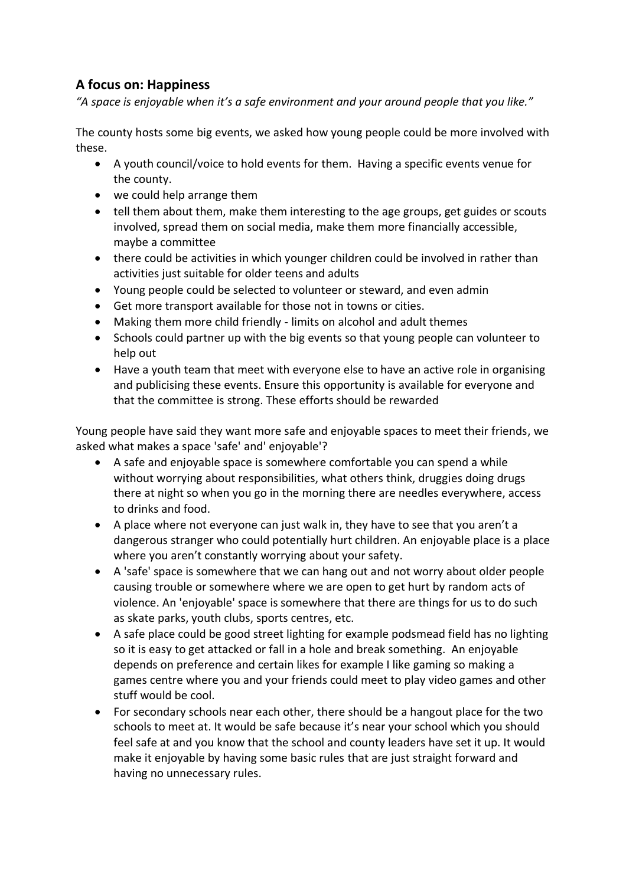## **A focus on: Happiness**

*"A space is enjoyable when it's a safe environment and your around people that you like."*

The county hosts some big events, we asked how young people could be more involved with these.

- A youth council/voice to hold events for them. Having a specific events venue for the county.
- we could help arrange them
- tell them about them, make them interesting to the age groups, get guides or scouts involved, spread them on social media, make them more financially accessible, maybe a committee
- there could be activities in which younger children could be involved in rather than activities just suitable for older teens and adults
- Young people could be selected to volunteer or steward, and even admin
- Get more transport available for those not in towns or cities.
- Making them more child friendly limits on alcohol and adult themes
- Schools could partner up with the big events so that young people can volunteer to help out
- Have a youth team that meet with everyone else to have an active role in organising and publicising these events. Ensure this opportunity is available for everyone and that the committee is strong. These efforts should be rewarded

Young people have said they want more safe and enjoyable spaces to meet their friends, we asked what makes a space 'safe' and' enjoyable'?

- A safe and enjoyable space is somewhere comfortable you can spend a while without worrying about responsibilities, what others think, druggies doing drugs there at night so when you go in the morning there are needles everywhere, access to drinks and food.
- A place where not everyone can just walk in, they have to see that you aren't a dangerous stranger who could potentially hurt children. An enjoyable place is a place where you aren't constantly worrying about your safety.
- A 'safe' space is somewhere that we can hang out and not worry about older people causing trouble or somewhere where we are open to get hurt by random acts of violence. An 'enjoyable' space is somewhere that there are things for us to do such as skate parks, youth clubs, sports centres, etc.
- A safe place could be good street lighting for example podsmead field has no lighting so it is easy to get attacked or fall in a hole and break something. An enjoyable depends on preference and certain likes for example I like gaming so making a games centre where you and your friends could meet to play video games and other stuff would be cool.
- For secondary schools near each other, there should be a hangout place for the two schools to meet at. It would be safe because it's near your school which you should feel safe at and you know that the school and county leaders have set it up. It would make it enjoyable by having some basic rules that are just straight forward and having no unnecessary rules.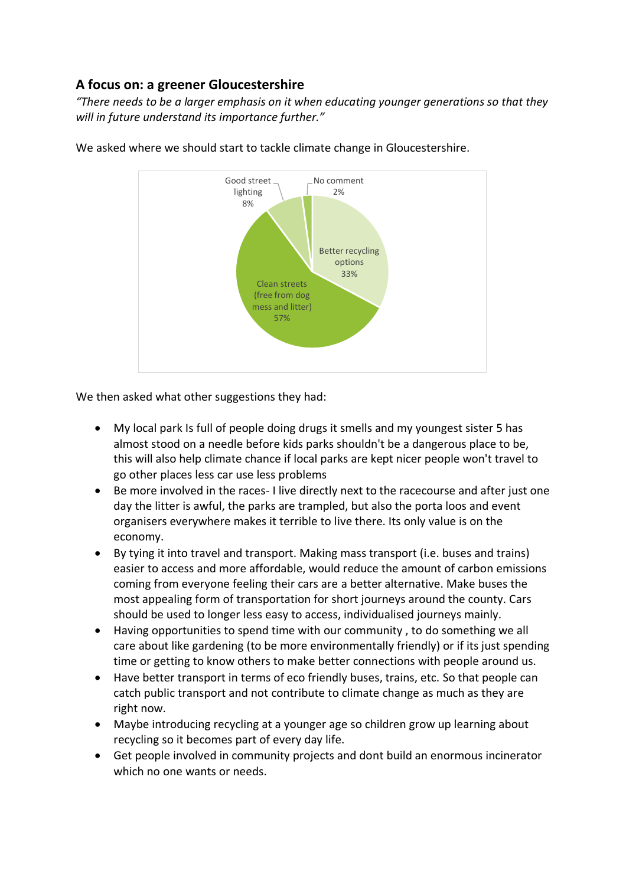## **A focus on: a greener Gloucestershire**

*"There needs to be a larger emphasis on it when educating younger generations so that they will in future understand its importance further."*



We asked where we should start to tackle climate change in Gloucestershire.

We then asked what other suggestions they had:

- My local park Is full of people doing drugs it smells and my youngest sister 5 has almost stood on a needle before kids parks shouldn't be a dangerous place to be, this will also help climate chance if local parks are kept nicer people won't travel to go other places less car use less problems
- Be more involved in the races- I live directly next to the racecourse and after just one day the litter is awful, the parks are trampled, but also the porta loos and event organisers everywhere makes it terrible to live there. Its only value is on the economy.
- By tying it into travel and transport. Making mass transport (i.e. buses and trains) easier to access and more affordable, would reduce the amount of carbon emissions coming from everyone feeling their cars are a better alternative. Make buses the most appealing form of transportation for short journeys around the county. Cars should be used to longer less easy to access, individualised journeys mainly.
- Having opportunities to spend time with our community , to do something we all care about like gardening (to be more environmentally friendly) or if its just spending time or getting to know others to make better connections with people around us.
- Have better transport in terms of eco friendly buses, trains, etc. So that people can catch public transport and not contribute to climate change as much as they are right now.
- Maybe introducing recycling at a younger age so children grow up learning about recycling so it becomes part of every day life.
- Get people involved in community projects and dont build an enormous incinerator which no one wants or needs.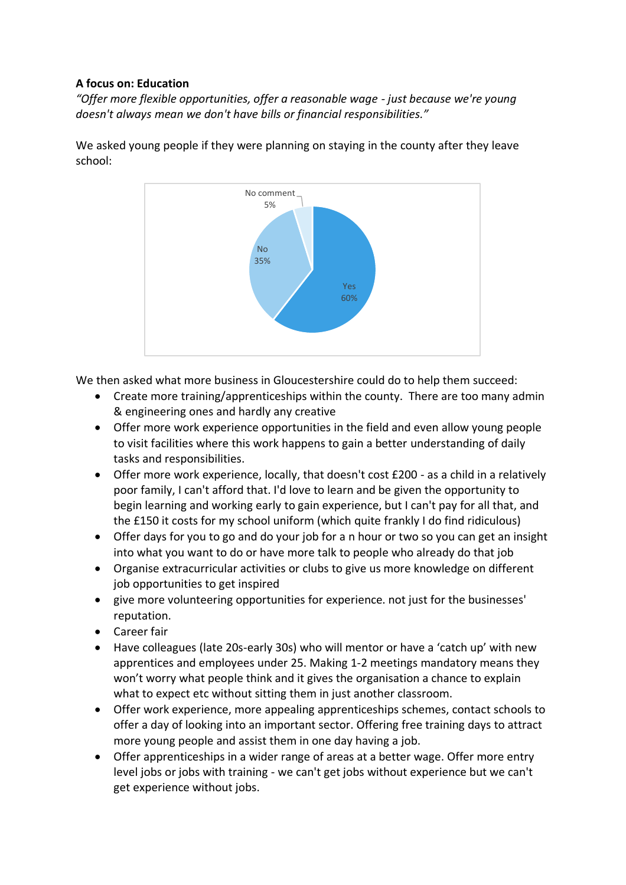#### **A focus on: Education**

*"Offer more flexible opportunities, offer a reasonable wage - just because we're young doesn't always mean we don't have bills or financial responsibilities."*



We asked young people if they were planning on staying in the county after they leave school:

We then asked what more business in Gloucestershire could do to help them succeed:

- Create more training/apprenticeships within the county. There are too many admin & engineering ones and hardly any creative
- Offer more work experience opportunities in the field and even allow young people to visit facilities where this work happens to gain a better understanding of daily tasks and responsibilities.
- Offer more work experience, locally, that doesn't cost £200 as a child in a relatively poor family, I can't afford that. I'd love to learn and be given the opportunity to begin learning and working early to gain experience, but I can't pay for all that, and the £150 it costs for my school uniform (which quite frankly I do find ridiculous)
- Offer days for you to go and do your job for a n hour or two so you can get an insight into what you want to do or have more talk to people who already do that job
- Organise extracurricular activities or clubs to give us more knowledge on different job opportunities to get inspired
- give more volunteering opportunities for experience. not just for the businesses' reputation.
- Career fair
- Have colleagues (late 20s-early 30s) who will mentor or have a 'catch up' with new apprentices and employees under 25. Making 1-2 meetings mandatory means they won't worry what people think and it gives the organisation a chance to explain what to expect etc without sitting them in just another classroom.
- Offer work experience, more appealing apprenticeships schemes, contact schools to offer a day of looking into an important sector. Offering free training days to attract more young people and assist them in one day having a job.
- Offer apprenticeships in a wider range of areas at a better wage. Offer more entry level jobs or jobs with training - we can't get jobs without experience but we can't get experience without jobs.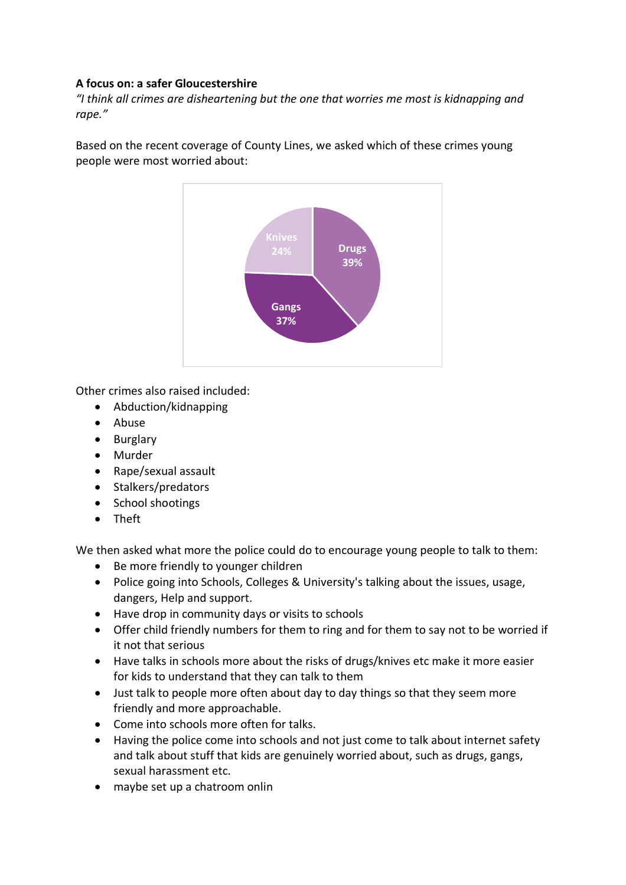#### **A focus on: a safer Gloucestershire**

*"I think all crimes are disheartening but the one that worries me most is kidnapping and rape."*

Based on the recent coverage of County Lines, we asked which of these crimes young people were most worried about:



Other crimes also raised included:

- Abduction/kidnapping
- Abuse
- Burglary
- Murder
- Rape/sexual assault
- Stalkers/predators
- School shootings
- Theft

We then asked what more the police could do to encourage young people to talk to them:

- Be more friendly to younger children
- Police going into Schools, Colleges & University's talking about the issues, usage, dangers, Help and support.
- Have drop in community days or visits to schools
- Offer child friendly numbers for them to ring and for them to say not to be worried if it not that serious
- Have talks in schools more about the risks of drugs/knives etc make it more easier for kids to understand that they can talk to them
- Just talk to people more often about day to day things so that they seem more friendly and more approachable.
- Come into schools more often for talks.
- Having the police come into schools and not just come to talk about internet safety and talk about stuff that kids are genuinely worried about, such as drugs, gangs, sexual harassment etc.
- maybe set up a chatroom onlin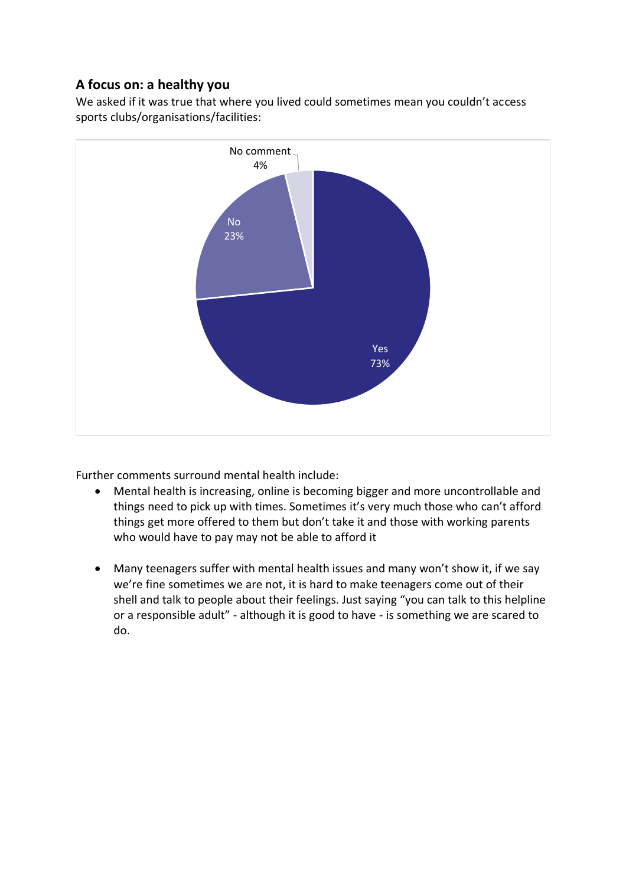# **A focus on: a healthy you**

We asked if it was true that where you lived could sometimes mean you couldn't access sports clubs/organisations/facilities:



Further comments surround mental health include:

- Mental health is increasing, online is becoming bigger and more uncontrollable and things need to pick up with times. Sometimes it's very much those who can't afford things get more offered to them but don't take it and those with working parents who would have to pay may not be able to afford it
- Many teenagers suffer with mental health issues and many won't show it, if we say we're fine sometimes we are not, it is hard to make teenagers come out of their shell and talk to people about their feelings. Just saying "you can talk to this helpline or a responsible adult" - although it is good to have - is something we are scared to do.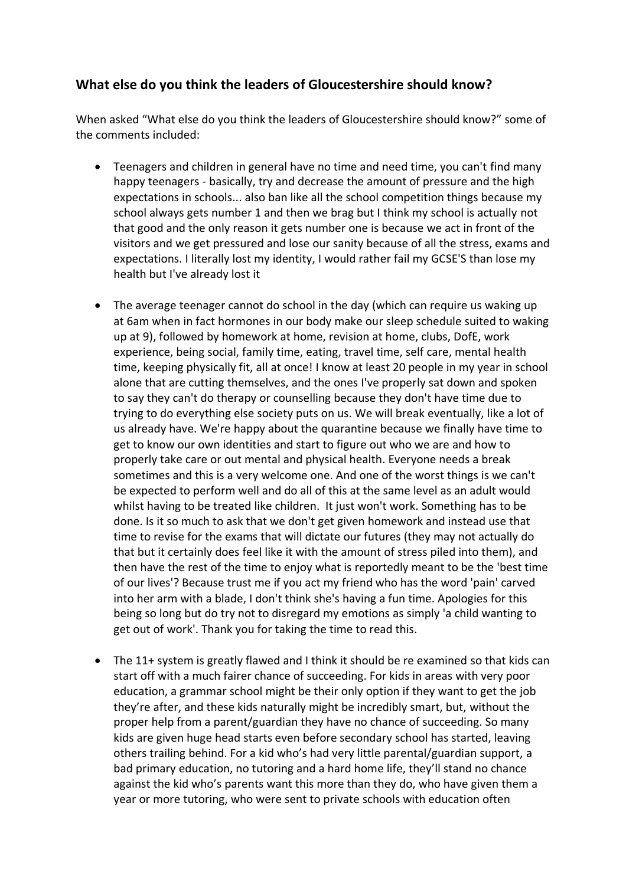#### **What else do you think the leaders of Gloucestershire should know?**

When asked "What else do you think the leaders of Gloucestershire should know?" some of the comments included:

- Teenagers and children in general have no time and need time, you can't find many happy teenagers - basically, try and decrease the amount of pressure and the high expectations in schools... also ban like all the school competition things because my school always gets number 1 and then we brag but I think my school is actually not that good and the only reason it gets number one is because we act in front of the visitors and we get pressured and lose our sanity because of all the stress, exams and expectations. I literally lost my identity, I would rather fail my GCSE'S than lose my health but I've already lost it
- The average teenager cannot do school in the day (which can require us waking up at 6am when in fact hormones in our body make our sleep schedule suited to waking up at 9), followed by homework at home, revision at home, clubs, DofE, work experience, being social, family time, eating, travel time, self care, mental health time, keeping physically fit, all at once! I know at least 20 people in my year in school alone that are cutting themselves, and the ones I've properly sat down and spoken to say they can't do therapy or counselling because they don't have time due to trying to do everything else society puts on us. We will break eventually, like a lot of us already have. We're happy about the quarantine because we finally have time to get to know our own identities and start to figure out who we are and how to properly take care or out mental and physical health. Everyone needs a break sometimes and this is a very welcome one. And one of the worst things is we can't be expected to perform well and do all of this at the same level as an adult would whilst having to be treated like children. It just won't work. Something has to be done. Is it so much to ask that we don't get given homework and instead use that time to revise for the exams that will dictate our futures (they may not actually do that but it certainly does feel like it with the amount of stress piled into them), and then have the rest of the time to enjoy what is reportedly meant to be the 'best time of our lives'? Because trust me if you act my friend who has the word 'pain' carved into her arm with a blade, I don't think she's having a fun time. Apologies for this being so long but do try not to disregard my emotions as simply 'a child wanting to get out of work'. Thank you for taking the time to read this.
- The 11+ system is greatly flawed and I think it should be re examined so that kids can start off with a much fairer chance of succeeding. For kids in areas with very poor education, a grammar school might be their only option if they want to get the job they're after, and these kids naturally might be incredibly smart, but, without the proper help from a parent/guardian they have no chance of succeeding. So many kids are given huge head starts even before secondary school has started, leaving others trailing behind. For a kid who's had very little parental/guardian support, a bad primary education, no tutoring and a hard home life, they'll stand no chance against the kid who's parents want this more than they do, who have given them a year or more tutoring, who were sent to private schools with education often